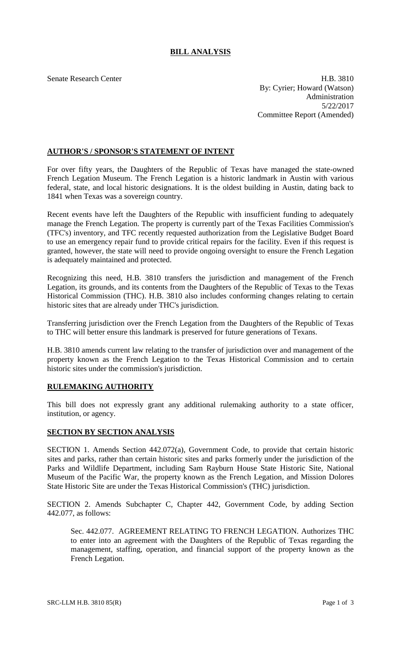# **BILL ANALYSIS**

Senate Research Center **H.B.** 3810 By: Cyrier; Howard (Watson) Administration 5/22/2017 Committee Report (Amended)

## **AUTHOR'S / SPONSOR'S STATEMENT OF INTENT**

For over fifty years, the Daughters of the Republic of Texas have managed the state-owned French Legation Museum. The French Legation is a historic landmark in Austin with various federal, state, and local historic designations. It is the oldest building in Austin, dating back to 1841 when Texas was a sovereign country.

Recent events have left the Daughters of the Republic with insufficient funding to adequately manage the French Legation. The property is currently part of the Texas Facilities Commission's (TFC's) inventory, and TFC recently requested authorization from the Legislative Budget Board to use an emergency repair fund to provide critical repairs for the facility. Even if this request is granted, however, the state will need to provide ongoing oversight to ensure the French Legation is adequately maintained and protected.

Recognizing this need, H.B. 3810 transfers the jurisdiction and management of the French Legation, its grounds, and its contents from the Daughters of the Republic of Texas to the Texas Historical Commission (THC). H.B. 3810 also includes conforming changes relating to certain historic sites that are already under THC's jurisdiction.

Transferring jurisdiction over the French Legation from the Daughters of the Republic of Texas to THC will better ensure this landmark is preserved for future generations of Texans.

H.B. 3810 amends current law relating to the transfer of jurisdiction over and management of the property known as the French Legation to the Texas Historical Commission and to certain historic sites under the commission's jurisdiction.

## **RULEMAKING AUTHORITY**

This bill does not expressly grant any additional rulemaking authority to a state officer, institution, or agency.

#### **SECTION BY SECTION ANALYSIS**

SECTION 1. Amends Section 442.072(a), Government Code, to provide that certain historic sites and parks, rather than certain historic sites and parks formerly under the jurisdiction of the Parks and Wildlife Department, including Sam Rayburn House State Historic Site, National Museum of the Pacific War, the property known as the French Legation, and Mission Dolores State Historic Site are under the Texas Historical Commission's (THC) jurisdiction.

SECTION 2. Amends Subchapter C, Chapter 442, Government Code, by adding Section 442.077, as follows:

Sec. 442.077. AGREEMENT RELATING TO FRENCH LEGATION. Authorizes THC to enter into an agreement with the Daughters of the Republic of Texas regarding the management, staffing, operation, and financial support of the property known as the French Legation.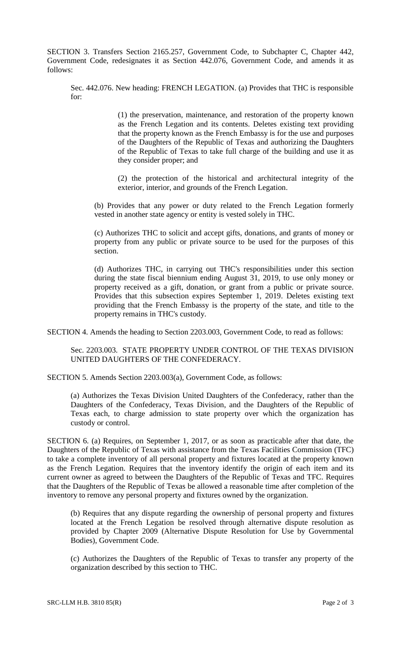SECTION 3. Transfers Section 2165.257, Government Code, to Subchapter C, Chapter 442, Government Code, redesignates it as Section 442.076, Government Code, and amends it as follows:

Sec. 442.076. New heading: FRENCH LEGATION. (a) Provides that THC is responsible for:

> (1) the preservation, maintenance, and restoration of the property known as the French Legation and its contents. Deletes existing text providing that the property known as the French Embassy is for the use and purposes of the Daughters of the Republic of Texas and authorizing the Daughters of the Republic of Texas to take full charge of the building and use it as they consider proper; and

> (2) the protection of the historical and architectural integrity of the exterior, interior, and grounds of the French Legation.

(b) Provides that any power or duty related to the French Legation formerly vested in another state agency or entity is vested solely in THC.

(c) Authorizes THC to solicit and accept gifts, donations, and grants of money or property from any public or private source to be used for the purposes of this section.

(d) Authorizes THC, in carrying out THC's responsibilities under this section during the state fiscal biennium ending August 31, 2019, to use only money or property received as a gift, donation, or grant from a public or private source. Provides that this subsection expires September 1, 2019. Deletes existing text providing that the French Embassy is the property of the state, and title to the property remains in THC's custody.

SECTION 4. Amends the heading to Section 2203.003, Government Code, to read as follows:

Sec. 2203.003. STATE PROPERTY UNDER CONTROL OF THE TEXAS DIVISION UNITED DAUGHTERS OF THE CONFEDERACY.

SECTION 5. Amends Section 2203.003(a), Government Code, as follows:

(a) Authorizes the Texas Division United Daughters of the Confederacy, rather than the Daughters of the Confederacy, Texas Division, and the Daughters of the Republic of Texas each, to charge admission to state property over which the organization has custody or control.

SECTION 6. (a) Requires, on September 1, 2017, or as soon as practicable after that date, the Daughters of the Republic of Texas with assistance from the Texas Facilities Commission (TFC) to take a complete inventory of all personal property and fixtures located at the property known as the French Legation. Requires that the inventory identify the origin of each item and its current owner as agreed to between the Daughters of the Republic of Texas and TFC. Requires that the Daughters of the Republic of Texas be allowed a reasonable time after completion of the inventory to remove any personal property and fixtures owned by the organization.

(b) Requires that any dispute regarding the ownership of personal property and fixtures located at the French Legation be resolved through alternative dispute resolution as provided by Chapter 2009 (Alternative Dispute Resolution for Use by Governmental Bodies), Government Code.

(c) Authorizes the Daughters of the Republic of Texas to transfer any property of the organization described by this section to THC.